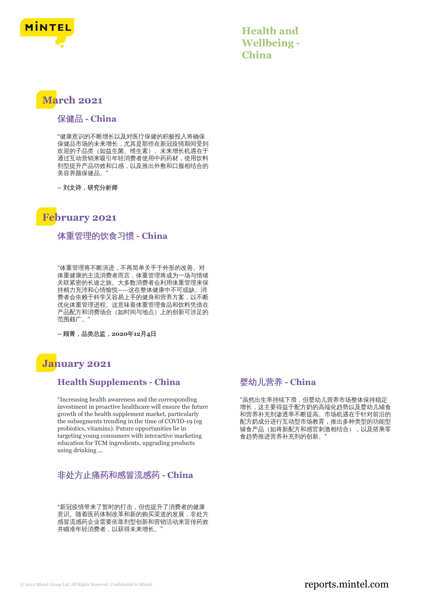

**Health and Wellbeing - China**

# **March 2021**

### 保健品 **- China**

"健康意识的不断增长以及对医疗保健的积极投入将确保 保健品市场的未来增长,尤其是那些在新冠疫情期间受到 欢迎的子品类(如益生菌、维生素)。未来增长机遇在于 通过互动营销来吸引年轻消费者使用中药药材,使用饮料 剂型提升产品功效和口感,以及推出外敷和口服相结合的 美容养颜保健品。"

**–** 刘文诗,研究分析师

# **February 2021**

### 体重管理的饮食习惯 **- China**

"体重管理将不断演进,不再简单关乎于外形的改善。对 体重健康的主流消费者而言,体重管理将成为一场与情绪 关联紧密的长途之旅。大多数消费者会利用体重管理来保 持精力充沛和心情愉悦——这在整体健康中不可或缺。消 费者会依赖于科学又容易上手的健身和营养方案,以不断 优化体重管理进程。这意味着体重管理食品和饮料凭借在 产品配方和消费场合(如时间与地点)上的创新可涉足的 范围颇广。"

**–** 顾菁,品类总监,**2020**年**12**月**4**日

# **January 2021**

#### **Health Supplements - China**

"Increasing health awareness and the corresponding investment in proactive healthcare will ensure the future growth of the health supplement market, particularly the subsegments trending in the time of COVID-19 (eg probiotics, vitamins). Future opportunities lie in targeting young consumers with interactive marketing education for TCM ingredients, upgrading products using drinking ...

# 非处方止痛药和感冒流感药 **- China**

"新冠疫情带来了暂时的打击,但也提升了消费者的健康 意识。随着医药体制改革和新的购买渠道的发展,非处方 感冒流感药企业需要依靠剂型创新和营销活动来宣传药效 并瞄准年轻消费者,以获得未来增长。

## 婴幼儿营养 **- China**

"虽然出生率持续下滑,但婴幼儿营养市场整体保持稳定 增长,这主要得益于配方奶的高端化趋势以及婴幼儿辅食 和营养补充剂渗透率不断提高。市场机遇在于针对前沿的 配方奶成分进行互动型市场教育,推出多种类型的功能型 辅食产品(如将新配方和感官刺激相结合),以及搭乘零 食趋势推进营养补充剂的创新。"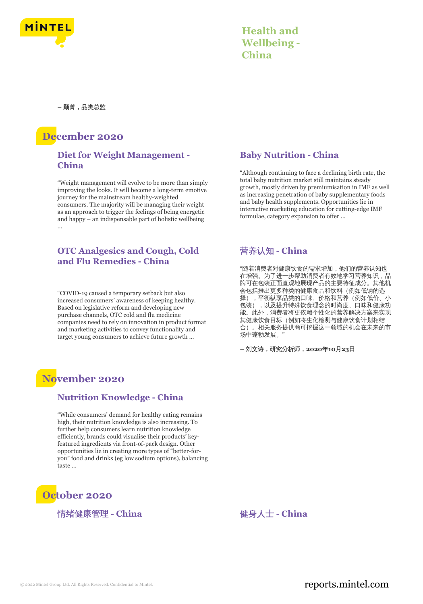

| <b>Health and</b>  |
|--------------------|
| <b>Wellbeing -</b> |
| China              |

**–** 顾菁,品类总监

# **December 2020**

### **Diet for Weight Management - China**

"Weight management will evolve to be more than simply improving the looks. It will become a long-term emotive journey for the mainstream healthy-weighted consumers. The majority will be managing their weight as an approach to trigger the feelings of being energetic and happy – an indispensable part of holistic wellbeing ...

### **OTC Analgesics and Cough, Cold and Flu Remedies - China**

"COVID-19 caused a temporary setback but also increased consumers' awareness of keeping healthy. Based on legislative reform and developing new purchase channels, OTC cold and flu medicine companies need to rely on innovation in product format and marketing activities to convey functionality and target young consumers to achieve future growth ...

# **November 2020**

### **Nutrition Knowledge - China**

"While consumers' demand for healthy eating remains high, their nutrition knowledge is also increasing. To further help consumers learn nutrition knowledge efficiently, brands could visualise their products' keyfeatured ingredients via front-of-pack design. Other opportunities lie in creating more types of "better-foryou" food and drinks (eg low sodium options), balancing taste ...

# **October 2020**

#### 情绪健康管理 - China インチング インストリック 健身人士 - China

### **Baby Nutrition - China**

"Although continuing to face a declining birth rate, the total baby nutrition market still maintains steady growth, mostly driven by premiumisation in IMF as well as increasing penetration of baby supplementary foods and baby health supplements. Opportunities lie in interactive marketing education for cutting-edge IMF formulae, category expansion to offer ...

# 营养认知 **- China**

"随着消费者对健康饮食的需求增加,他们的营养认知也 在增强。为了进一步帮助消费者有效地学习营养知识,品 牌可在包装正面直观地展现产品的主要特征成分。其他机 会包括推出更多种类的健康食品和饮料(例如低钠的选 择),平衡纵享品类的口味、价格和营养(例如低价、小 包装),,以及提升特殊饮食理念的时尚度、口味和健康功 能。此外,消费者将更依赖个性化的营养解决方案来实现 其健康饮食目标(例如将生化检测与健康饮食计划相结 合)。相关服务提供商可挖掘这一领域的机会在未来的市 场中蓬勃发展。"

**–** 刘文诗,研究分析师,**2020**年**10**月**23**日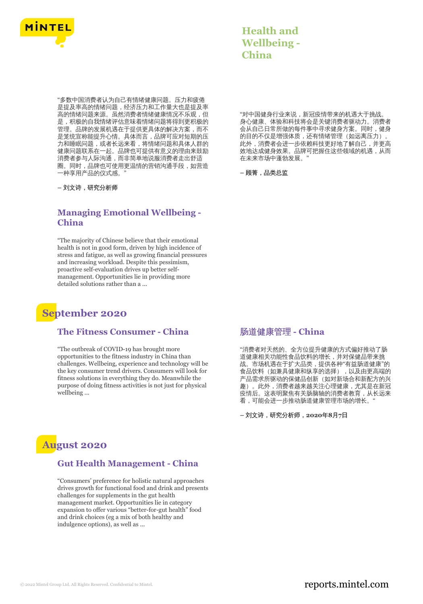

| <b>Health and</b>  |
|--------------------|
| <b>Wellbeing -</b> |
| China              |

"多数中国消费者认为自己有情绪健康问题。压力和疲倦 是提及率高的情绪问题,经济压力和工作量大也是提及率 高的情绪问题来源。虽然消费者情绪健康情况不乐观,但 是,积极的自我情绪评估意味着情绪问题将得到更积极的 管理。品牌的发展机遇在于提供更具体的解决方案,而不 是笼统宣称能提升心情。具体而言,品牌可应对短期的压 力和睡眠问题,或者长远来看,将情绪问题和具体人群的 健康问题联系在一起。品牌也可提供有意义的理由来鼓励 消费者参与人际沟通,而非简单地说服消费者走出舒适 圈。同时,品牌也可使用更温情的营销沟通手段,如营造 一种享用产品的仪式感。"

**–** 刘文诗,研究分析师

#### **Managing Emotional Wellbeing - China**

"The majority of Chinese believe that their emotional health is not in good form, driven by high incidence of stress and fatigue, as well as growing financial pressures and increasing workload. Despite this pessimism, proactive self-evaluation drives up better selfmanagement. Opportunities lie in providing more detailed solutions rather than a ...

# **September 2020**

#### **The Fitness Consumer - China**

"The outbreak of COVID-19 has brought more opportunities to the fitness industry in China than challenges. Wellbeing, experience and technology will be the key consumer trend drivers. Consumers will look for fitness solutions in everything they do. Meanwhile the purpose of doing fitness activities is not just for physical wellbeing ...

**August 2020**

#### **Gut Health Management - China**

"Consumers' preference for holistic natural approaches drives growth for functional food and drink and presents challenges for supplements in the gut health management market. Opportunities lie in category expansion to offer various "better-for-gut health" food and drink choices (eg a mix of both healthy and indulgence options), as well as ...

"对中国健身行业来说,新冠疫情带来的机遇大于挑战。 身心健康、体验和科技将会是关键消费者驱动力。消费者 会从自己日常所做的每件事中寻求健身方案。同时,健身 的目的不仅是增强体质,还有情绪管理(如远离压力)。 此外,消费者会进一步依赖科技更好地了解自己,并更高 效地达成健身效果。品牌可把握住这些领域的机遇,从而 在未来市场中蓬勃发展。"

**–** 顾菁,品类总监

#### 肠道健康管理 **- China**

"消费者对天然的、全方位提升健康的方式偏好推动了肠 道健康相关功能性食品饮料的增长,并对保健品带来挑 战。市场机遇在于扩大品类,提供各种"有益肠道健康"的 食品饮料(如兼具健康和纵享的选择),以及由更高端的 产品需求所驱动的保健品创新(如对新场合和新配方的兴 趣)。此外,消费者越来越关注心理健康,尤其是在新冠 疫情后。这表明聚焦有关肠脑轴的消费者教育,从长远来 看,可能会进一步推动肠道健康管理市场的增长。"

**–** 刘文诗,研究分析师,**2020**年**8**月**7**日